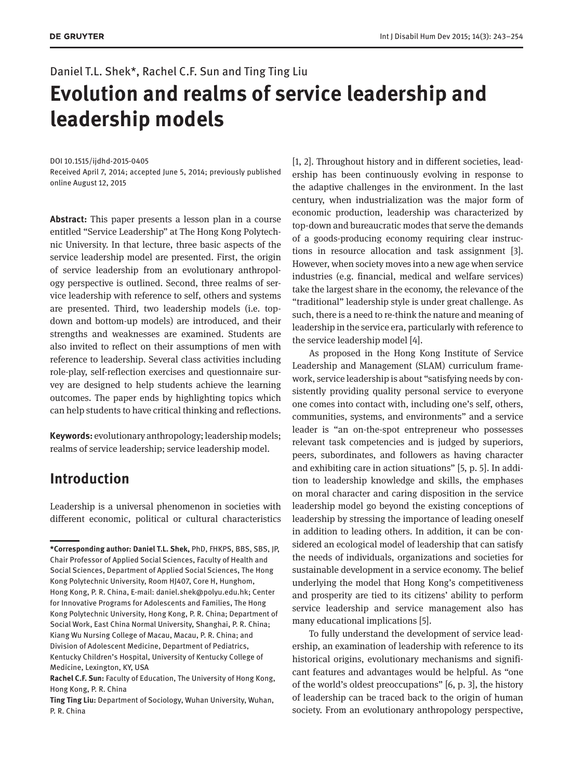# Daniel T.L. Shek\*, Rachel C.F. Sun and Ting Ting Liu **Evolution and realms of service leadership and leadership models**

DOI 10.1515/ijdhd-2015-0405

Received April 7, 2014; accepted June 5, 2014; previously published online August 12, 2015

**Abstract:** This paper presents a lesson plan in a course entitled "Service Leadership" at The Hong Kong Polytechnic University. In that lecture, three basic aspects of the service leadership model are presented. First, the origin of service leadership from an evolutionary anthropology perspective is outlined. Second, three realms of service leadership with reference to self, others and systems are presented. Third, two leadership models (i.e. topdown and bottom-up models) are introduced, and their strengths and weaknesses are examined. Students are also invited to reflect on their assumptions of men with reference to leadership. Several class activities including role-play, self-reflection exercises and questionnaire survey are designed to help students achieve the learning outcomes. The paper ends by highlighting topics which can help students to have critical thinking and reflections.

**Keywords:** evolutionary anthropology; leadership models; realms of service leadership; service leadership model.

# **Introduction**

Leadership is a universal phenomenon in societies with different economic, political or cultural characteristics [1, 2]. Throughout history and in different societies, leadership has been continuously evolving in response to the adaptive challenges in the environment. In the last century, when industrialization was the major form of economic production, leadership was characterized by top-down and bureaucratic modes that serve the demands of a goods-producing economy requiring clear instructions in resource allocation and task assignment [3]. However, when society moves into a new age when service industries (e.g. financial, medical and welfare services) take the largest share in the economy, the relevance of the "traditional" leadership style is under great challenge. As such, there is a need to re-think the nature and meaning of leadership in the service era, particularly with reference to the service leadership model [4].

As proposed in the Hong Kong Institute of Service Leadership and Management (SLAM) curriculum framework, service leadership is about "satisfying needs by consistently providing quality personal service to everyone one comes into contact with, including one's self, others, communities, systems, and environments" and a service leader is "an on-the-spot entrepreneur who possesses relevant task competencies and is judged by superiors, peers, subordinates, and followers as having character and exhibiting care in action situations" [5, p. 5]. In addition to leadership knowledge and skills, the emphases on moral character and caring disposition in the service leadership model go beyond the existing conceptions of leadership by stressing the importance of leading oneself in addition to leading others. In addition, it can be considered an ecological model of leadership that can satisfy the needs of individuals, organizations and societies for sustainable development in a service economy. The belief underlying the model that Hong Kong's competitiveness and prosperity are tied to its citizens' ability to perform service leadership and service management also has many educational implications [5].

To fully understand the development of service leadership, an examination of leadership with reference to its historical origins, evolutionary mechanisms and significant features and advantages would be helpful. As "one of the world's oldest preoccupations" [6, p. 3], the history of leadership can be traced back to the origin of human society. From an evolutionary anthropology perspective,

**<sup>\*</sup>Corresponding author: Daniel T.L. Shek,** PhD, FHKPS, BBS, SBS, JP, Chair Professor of Applied Social Sciences, Faculty of Health and Social Sciences, Department of Applied Social Sciences, The Hong Kong Polytechnic University, Room HJ407, Core H, Hunghom, Hong Kong, P. R. China, E-mail: [daniel.shek@polyu.edu.hk;](mailto:daniel.shek@polyu.edu.hk) Center for Innovative Programs for Adolescents and Families, The Hong Kong Polytechnic University, Hong Kong, P. R. China; Department of Social Work, East China Normal University, Shanghai, P. R. China; Kiang Wu Nursing College of Macau, Macau, P. R. China; and Division of Adolescent Medicine, Department of Pediatrics, Kentucky Children's Hospital, University of Kentucky College of Medicine, Lexington, KY, USA

**Rachel C.F. Sun:** Faculty of Education, The University of Hong Kong, Hong Kong, P. R. China

**Ting Ting Liu:** Department of Sociology, Wuhan University, Wuhan, P. R. China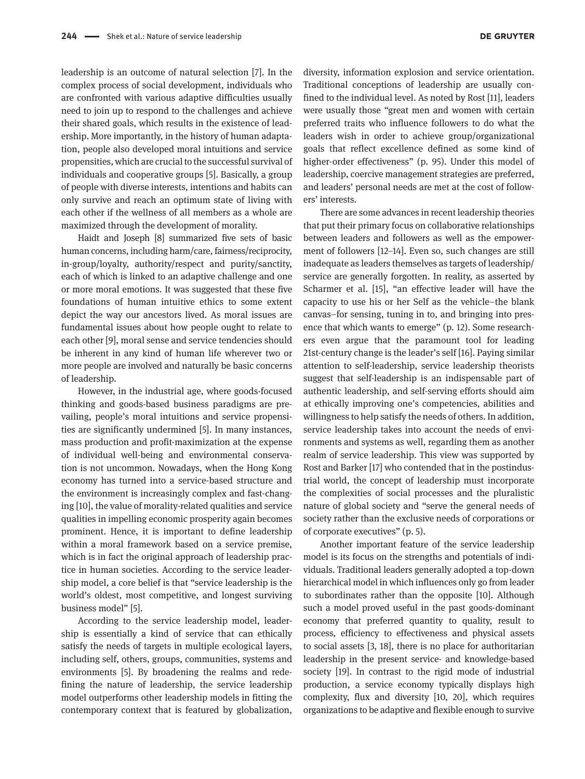leadership is an outcome of natural selection [7]. In the complex process of social development, individuals who are confronted with various adaptive difficulties usually need to join up to respond to the challenges and achieve their shared goals, which results in the existence of leadership. More importantly, in the history of human adaptation, people also developed moral intuitions and service propensities, which are crucial to the successful survival of individuals and cooperative groups [5]. Basically, a group of people with diverse interests, intentions and habits can only survive and reach an optimum state of living with each other if the wellness of all members as a whole are maximized through the development of morality.

Haidt and Joseph [8] summarized five sets of basic human concerns, including harm/care, fairness/reciprocity, in-group/loyalty, authority/respect and purity/sanctity, each of which is linked to an adaptive challenge and one or more moral emotions. It was suggested that these five foundations of human intuitive ethics to some extent depict the way our ancestors lived. As moral issues are fundamental issues about how people ought to relate to each other [9], moral sense and service tendencies should be inherent in any kind of human life wherever two or more people are involved and naturally be basic concerns of leadership.

However, in the industrial age, where goods-focused thinking and goods-based business paradigms are prevailing, people's moral intuitions and service propensities are significantly undermined [5]. In many instances, mass production and profit-maximization at the expense of individual well-being and environmental conservation is not uncommon. Nowadays, when the Hong Kong economy has turned into a service-based structure and the environment is increasingly complex and fast-changing [10], the value of morality-related qualities and service qualities in impelling economic prosperity again becomes prominent. Hence, it is important to define leadership within a moral framework based on a service premise, which is in fact the original approach of leadership practice in human societies. According to the service leadership model, a core belief is that "service leadership is the world's oldest, most competitive, and longest surviving business model" [5].

According to the service leadership model, leadership is essentially a kind of service that can ethically satisfy the needs of targets in multiple ecological layers, including self, others, groups, communities, systems and environments [5]. By broadening the realms and redefining the nature of leadership, the service leadership model outperforms other leadership models in fitting the contemporary context that is featured by globalization, diversity, information explosion and service orientation. Traditional conceptions of leadership are usually confined to the individual level. As noted by Rost [11], leaders were usually those "great men and women with certain preferred traits who influence followers to do what the leaders wish in order to achieve group/organizational goals that reflect excellence defined as some kind of higher-order effectiveness" (p. 95). Under this model of leadership, coercive management strategies are preferred, and leaders' personal needs are met at the cost of followers' interests.

There are some advances in recent leadership theories that put their primary focus on collaborative relationships between leaders and followers as well as the empowerment of followers [12–14]. Even so, such changes are still inadequate as leaders themselves as targets of leadership/ service are generally forgotten. In reality, as asserted by Scharmer et al. [15], "an effective leader will have the capacity to use his or her Self as the vehicle–the blank canvas–for sensing, tuning in to, and bringing into presence that which wants to emerge" (p. 12). Some researchers even argue that the paramount tool for leading 21st-century change is the leader's self [16]. Paying similar attention to self-leadership, service leadership theorists suggest that self-leadership is an indispensable part of authentic leadership, and self-serving efforts should aim at ethically improving one's competencies, abilities and willingness to help satisfy the needs of others. In addition, service leadership takes into account the needs of environments and systems as well, regarding them as another realm of service leadership. This view was supported by Rost and Barker [17] who contended that in the postindustrial world, the concept of leadership must incorporate the complexities of social processes and the pluralistic nature of global society and "serve the general needs of society rather than the exclusive needs of corporations or of corporate executives" (p. 5).

Another important feature of the service leadership model is its focus on the strengths and potentials of individuals. Traditional leaders generally adopted a top-down hierarchical model in which influences only go from leader to subordinates rather than the opposite [10]. Although such a model proved useful in the past goods-dominant economy that preferred quantity to quality, result to process, efficiency to effectiveness and physical assets to social assets [3, 18], there is no place for authoritarian leadership in the present service- and knowledge-based society [19]. In contrast to the rigid mode of industrial production, a service economy typically displays high complexity, flux and diversity [10, 20], which requires organizations to be adaptive and flexible enough to survive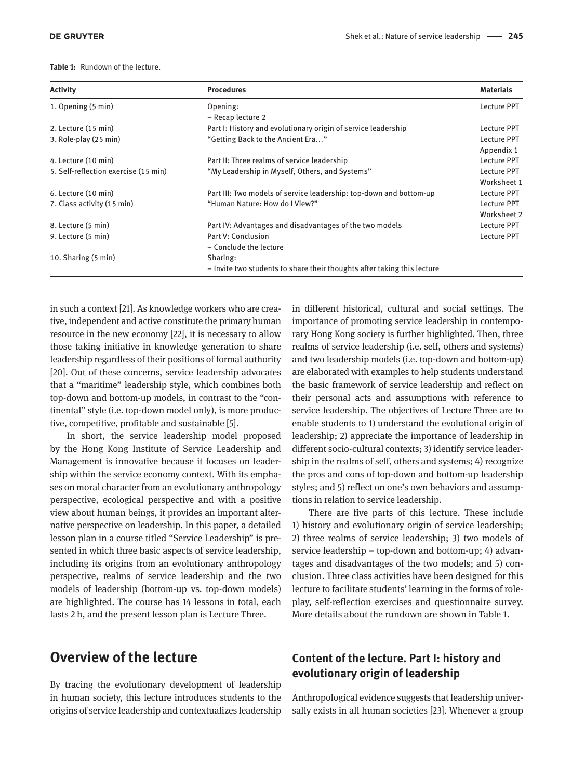| <b>Activity</b>                      | <b>Procedures</b>                                                       | <b>Materials</b><br>Lecture PPT |  |
|--------------------------------------|-------------------------------------------------------------------------|---------------------------------|--|
| 1. Opening (5 min)                   | Opening:<br>- Recap lecture 2                                           |                                 |  |
| 2. Lecture (15 min)                  | Part I: History and evolutionary origin of service leadership           | Lecture PPT                     |  |
| 3. Role-play (25 min)                | "Getting Back to the Ancient Era"                                       | Lecture PPT                     |  |
|                                      |                                                                         | Appendix 1                      |  |
| 4. Lecture (10 min)                  | Part II: Three realms of service leadership                             | <b>Lecture PPT</b>              |  |
| 5. Self-reflection exercise (15 min) | "My Leadership in Myself, Others, and Systems"                          | Lecture PPT                     |  |
|                                      |                                                                         | Worksheet 1                     |  |
| 6. Lecture (10 min)                  | Part III: Two models of service leadership: top-down and bottom-up      | Lecture PPT                     |  |
| 7. Class activity (15 min)           | "Human Nature: How do I View?"                                          | Lecture PPT                     |  |
|                                      |                                                                         | Worksheet 2                     |  |
| 8. Lecture (5 min)                   | Part IV: Advantages and disadvantages of the two models                 | Lecture PPT                     |  |
| 9. Lecture (5 min)                   | Part V: Conclusion                                                      | Lecture PPT                     |  |
|                                      | - Conclude the lecture                                                  |                                 |  |
| 10. Sharing (5 min)                  | Sharing:                                                                |                                 |  |
|                                      | - Invite two students to share their thoughts after taking this lecture |                                 |  |

in such a context [21]. As knowledge workers who are creative, independent and active constitute the primary human resource in the new economy [22], it is necessary to allow those taking initiative in knowledge generation to share leadership regardless of their positions of formal authority [20]. Out of these concerns, service leadership advocates that a "maritime" leadership style, which combines both top-down and bottom-up models, in contrast to the "continental" style (i.e. top-down model only), is more productive, competitive, profitable and sustainable [5].

In short, the service leadership model proposed by the Hong Kong Institute of Service Leadership and Management is innovative because it focuses on leadership within the service economy context. With its emphases on moral character from an evolutionary anthropology perspective, ecological perspective and with a positive view about human beings, it provides an important alternative perspective on leadership. In this paper, a detailed lesson plan in a course titled "Service Leadership" is presented in which three basic aspects of service leadership, including its origins from an evolutionary anthropology perspective, realms of service leadership and the two models of leadership (bottom-up vs. top-down models) are highlighted. The course has 14 lessons in total, each lasts 2 h, and the present lesson plan is Lecture Three.

# **Overview of the lecture**

By tracing the evolutionary development of leadership in human society, this lecture introduces students to the origins of service leadership and contextualizes leadership

in different historical, cultural and social settings. The importance of promoting service leadership in contemporary Hong Kong society is further highlighted. Then, three realms of service leadership (i.e. self, others and systems) and two leadership models (i.e. top-down and bottom-up) are elaborated with examples to help students understand the basic framework of service leadership and reflect on their personal acts and assumptions with reference to service leadership. The objectives of Lecture Three are to enable students to 1) understand the evolutional origin of leadership; 2) appreciate the importance of leadership in different socio-cultural contexts; 3) identify service leadership in the realms of self, others and systems; 4) recognize the pros and cons of top-down and bottom-up leadership styles; and 5) reflect on one's own behaviors and assumptions in relation to service leadership.

There are five parts of this lecture. These include 1) history and evolutionary origin of service leadership; 2) three realms of service leadership; 3) two models of service leadership – top-down and bottom-up; 4) advantages and disadvantages of the two models; and 5) conclusion. Three class activities have been designed for this lecture to facilitate students' learning in the forms of roleplay, self-reflection exercises and questionnaire survey. More details about the rundown are shown in Table 1.

## **Content of the lecture. Part I: history and evolutionary origin of leadership**

Anthropological evidence suggests that leadership universally exists in all human societies [23]. Whenever a group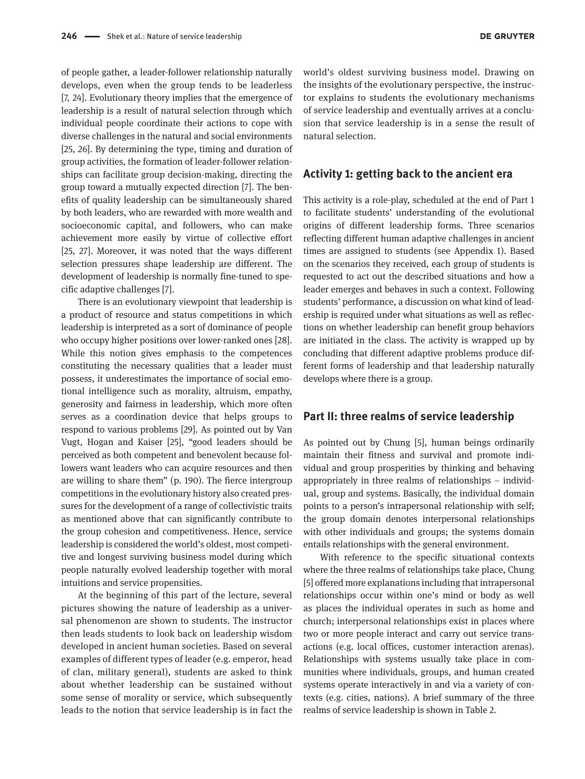of people gather, a leader-follower relationship naturally develops, even when the group tends to be leaderless [7, 24]. Evolutionary theory implies that the emergence of leadership is a result of natural selection through which individual people coordinate their actions to cope with diverse challenges in the natural and social environments [25, 26]. By determining the type, timing and duration of group activities, the formation of leader-follower relationships can facilitate group decision-making, directing the group toward a mutually expected direction [7]. The benefits of quality leadership can be simultaneously shared by both leaders, who are rewarded with more wealth and socioeconomic capital, and followers, who can make achievement more easily by virtue of collective effort [25, 27]. Moreover, it was noted that the ways different selection pressures shape leadership are different. The development of leadership is normally fine-tuned to specific adaptive challenges [7].

There is an evolutionary viewpoint that leadership is a product of resource and status competitions in which leadership is interpreted as a sort of dominance of people who occupy higher positions over lower-ranked ones [28]. While this notion gives emphasis to the competences constituting the necessary qualities that a leader must possess, it underestimates the importance of social emotional intelligence such as morality, altruism, empathy, generosity and fairness in leadership, which more often serves as a coordination device that helps groups to respond to various problems [29]. As pointed out by Van Vugt, Hogan and Kaiser [25], "good leaders should be perceived as both competent and benevolent because followers want leaders who can acquire resources and then are willing to share them" (p. 190). The fierce intergroup competitions in the evolutionary history also created pressures for the development of a range of collectivistic traits as mentioned above that can significantly contribute to the group cohesion and competitiveness. Hence, service leadership is considered the world's oldest, most competitive and longest surviving business model during which people naturally evolved leadership together with moral intuitions and service propensities.

At the beginning of this part of the lecture, several pictures showing the nature of leadership as a universal phenomenon are shown to students. The instructor then leads students to look back on leadership wisdom developed in ancient human societies. Based on several examples of different types of leader (e.g. emperor, head of clan, military general), students are asked to think about whether leadership can be sustained without some sense of morality or service, which subsequently leads to the notion that service leadership is in fact the

world's oldest surviving business model. Drawing on the insights of the evolutionary perspective, the instructor explains to students the evolutionary mechanisms of service leadership and eventually arrives at a conclusion that service leadership is in a sense the result of natural selection.

#### **Activity 1: getting back to the ancient era**

This activity is a role-play, scheduled at the end of Part 1 to facilitate students' understanding of the evolutional origins of different leadership forms. Three scenarios reflecting different human adaptive challenges in ancient times are assigned to students (see Appendix 1). Based on the scenarios they received, each group of students is requested to act out the described situations and how a leader emerges and behaves in such a context. Following students' performance, a discussion on what kind of leadership is required under what situations as well as reflections on whether leadership can benefit group behaviors are initiated in the class. The activity is wrapped up by concluding that different adaptive problems produce different forms of leadership and that leadership naturally develops where there is a group.

### **Part II: three realms of service leadership**

As pointed out by Chung [5], human beings ordinarily maintain their fitness and survival and promote individual and group prosperities by thinking and behaving appropriately in three realms of relationships – individual, group and systems. Basically, the individual domain points to a person's intrapersonal relationship with self; the group domain denotes interpersonal relationships with other individuals and groups; the systems domain entails relationships with the general environment.

With reference to the specific situational contexts where the three realms of relationships take place, Chung [5] offered more explanations including that intrapersonal relationships occur within one's mind or body as well as places the individual operates in such as home and church; interpersonal relationships exist in places where two or more people interact and carry out service transactions (e.g. local offices, customer interaction arenas). Relationships with systems usually take place in communities where individuals, groups, and human created systems operate interactively in and via a variety of contexts (e.g. cities, nations). A brief summary of the three realms of service leadership is shown in Table 2.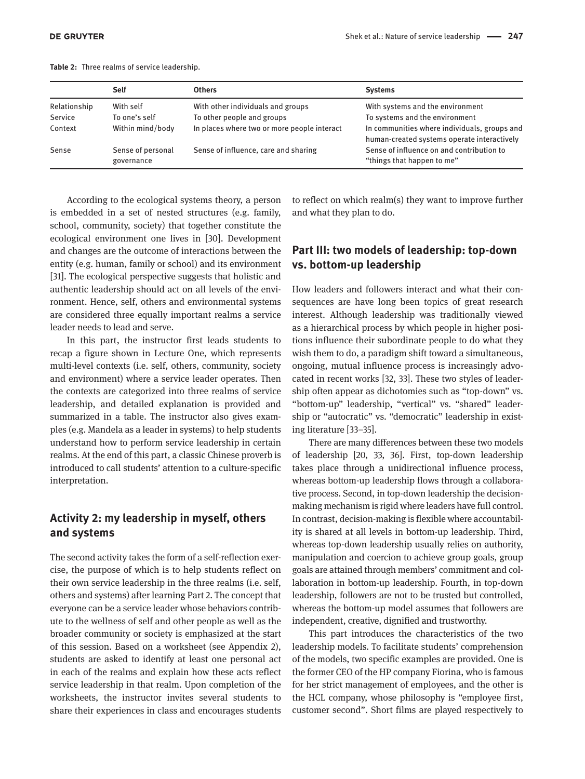|              | <b>Self</b>                     | Others                                      | <b>Systems</b>                                                                              |
|--------------|---------------------------------|---------------------------------------------|---------------------------------------------------------------------------------------------|
| Relationship | With self                       | With other individuals and groups           | With systems and the environment                                                            |
| Service      | To one's self                   | To other people and groups                  | To systems and the environment                                                              |
| Context      | Within mind/body                | In places where two or more people interact | In communities where individuals, groups and<br>human-created systems operate interactively |
| Sense        | Sense of personal<br>governance | Sense of influence, care and sharing        | Sense of influence on and contribution to<br>"things that happen to me"                     |

**Table 2:** Three realms of service leadership.

According to the ecological systems theory, a person is embedded in a set of nested structures (e.g. family, school, community, society) that together constitute the ecological environment one lives in [30]. Development and changes are the outcome of interactions between the entity (e.g. human, family or school) and its environment [31]. The ecological perspective suggests that holistic and authentic leadership should act on all levels of the environment. Hence, self, others and environmental systems are considered three equally important realms a service leader needs to lead and serve.

In this part, the instructor first leads students to recap a figure shown in Lecture One, which represents multi-level contexts (i.e. self, others, community, society and environment) where a service leader operates. Then the contexts are categorized into three realms of service leadership, and detailed explanation is provided and summarized in a table. The instructor also gives examples (e.g. Mandela as a leader in systems) to help students understand how to perform service leadership in certain realms. At the end of this part, a classic Chinese proverb is introduced to call students' attention to a culture-specific interpretation.

## **Activity 2: my leadership in myself, others and systems**

The second activity takes the form of a self-reflection exercise, the purpose of which is to help students reflect on their own service leadership in the three realms (i.e. self, others and systems) after learning Part 2. The concept that everyone can be a service leader whose behaviors contribute to the wellness of self and other people as well as the broader community or society is emphasized at the start of this session. Based on a worksheet (see Appendix 2), students are asked to identify at least one personal act in each of the realms and explain how these acts reflect service leadership in that realm. Upon completion of the worksheets, the instructor invites several students to share their experiences in class and encourages students to reflect on which realm(s) they want to improve further and what they plan to do.

## **Part III: two models of leadership: top-down vs. bottom-up leadership**

How leaders and followers interact and what their consequences are have long been topics of great research interest. Although leadership was traditionally viewed as a hierarchical process by which people in higher positions influence their subordinate people to do what they wish them to do, a paradigm shift toward a simultaneous, ongoing, mutual influence process is increasingly advocated in recent works [32, 33]. These two styles of leadership often appear as dichotomies such as "top-down" vs. "bottom-up" leadership, "vertical" vs. "shared" leadership or "autocratic" vs. "democratic" leadership in existing literature [33–35].

There are many differences between these two models of leadership [20, 33, 36]. First, top-down leadership takes place through a unidirectional influence process, whereas bottom-up leadership flows through a collaborative process. Second, in top-down leadership the decisionmaking mechanism is rigid where leaders have full control. In contrast, decision-making is flexible where accountability is shared at all levels in bottom-up leadership. Third, whereas top-down leadership usually relies on authority, manipulation and coercion to achieve group goals, group goals are attained through members' commitment and collaboration in bottom-up leadership. Fourth, in top-down leadership, followers are not to be trusted but controlled, whereas the bottom-up model assumes that followers are independent, creative, dignified and trustworthy.

This part introduces the characteristics of the two leadership models. To facilitate students' comprehension of the models, two specific examples are provided. One is the former CEO of the HP company Fiorina, who is famous for her strict management of employees, and the other is the HCL company, whose philosophy is "employee first, customer second". Short films are played respectively to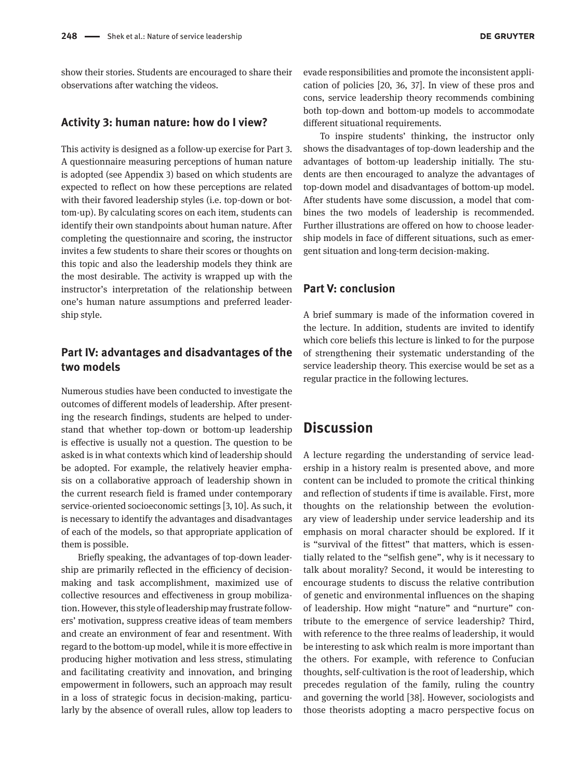show their stories. Students are encouraged to share their observations after watching the videos.

#### **Activity 3: human nature: how do I view?**

This activity is designed as a follow-up exercise for Part 3. A questionnaire measuring perceptions of human nature is adopted (see Appendix 3) based on which students are expected to reflect on how these perceptions are related with their favored leadership styles (i.e. top-down or bottom-up). By calculating scores on each item, students can identify their own standpoints about human nature. After completing the questionnaire and scoring, the instructor invites a few students to share their scores or thoughts on this topic and also the leadership models they think are the most desirable. The activity is wrapped up with the instructor's interpretation of the relationship between one's human nature assumptions and preferred leadership style.

### **Part IV: advantages and disadvantages of the two models**

Numerous studies have been conducted to investigate the outcomes of different models of leadership. After presenting the research findings, students are helped to understand that whether top-down or bottom-up leadership is effective is usually not a question. The question to be asked is in what contexts which kind of leadership should be adopted. For example, the relatively heavier emphasis on a collaborative approach of leadership shown in the current research field is framed under contemporary service-oriented socioeconomic settings [3, 10]. As such, it is necessary to identify the advantages and disadvantages of each of the models, so that appropriate application of them is possible.

Briefly speaking, the advantages of top-down leadership are primarily reflected in the efficiency of decisionmaking and task accomplishment, maximized use of collective resources and effectiveness in group mobilization. However, this style of leadership may frustrate followers' motivation, suppress creative ideas of team members and create an environment of fear and resentment. With regard to the bottom-up model, while it is more effective in producing higher motivation and less stress, stimulating and facilitating creativity and innovation, and bringing empowerment in followers, such an approach may result in a loss of strategic focus in decision-making, particularly by the absence of overall rules, allow top leaders to

evade responsibilities and promote the inconsistent application of policies [20, 36, 37]. In view of these pros and cons, service leadership theory recommends combining both top-down and bottom-up models to accommodate different situational requirements.

To inspire students' thinking, the instructor only shows the disadvantages of top-down leadership and the advantages of bottom-up leadership initially. The students are then encouraged to analyze the advantages of top-down model and disadvantages of bottom-up model. After students have some discussion, a model that combines the two models of leadership is recommended. Further illustrations are offered on how to choose leadership models in face of different situations, such as emergent situation and long-term decision-making.

### **Part V: conclusion**

A brief summary is made of the information covered in the lecture. In addition, students are invited to identify which core beliefs this lecture is linked to for the purpose of strengthening their systematic understanding of the service leadership theory. This exercise would be set as a regular practice in the following lectures.

# **Discussion**

A lecture regarding the understanding of service leadership in a history realm is presented above, and more content can be included to promote the critical thinking and reflection of students if time is available. First, more thoughts on the relationship between the evolutionary view of leadership under service leadership and its emphasis on moral character should be explored. If it is "survival of the fittest" that matters, which is essentially related to the "selfish gene", why is it necessary to talk about morality? Second, it would be interesting to encourage students to discuss the relative contribution of genetic and environmental influences on the shaping of leadership. How might "nature" and "nurture" contribute to the emergence of service leadership? Third, with reference to the three realms of leadership, it would be interesting to ask which realm is more important than the others. For example, with reference to Confucian thoughts, self-cultivation is the root of leadership, which precedes regulation of the family, ruling the country and governing the world [38]. However, sociologists and those theorists adopting a macro perspective focus on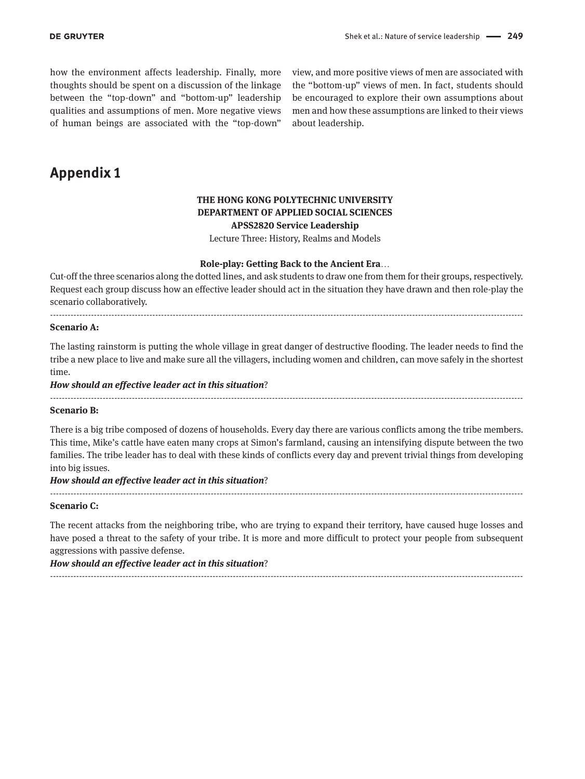how the environment affects leadership. Finally, more thoughts should be spent on a discussion of the linkage between the "top-down" and "bottom-up" leadership qualities and assumptions of men. More negative views of human beings are associated with the "top-down"

view, and more positive views of men are associated with the "bottom-up" views of men. In fact, students should be encouraged to explore their own assumptions about men and how these assumptions are linked to their views about leadership.

# **Appendix 1**

### **THE HONG KONG POLYTECHNIC UNIVERSITY DEPARTMENT OF APPLIED SOCIAL SCIENCES APSS2820 Service Leadership**

Lecture Three: History, Realms and Models

#### **Role-play: Getting Back to the Ancient Era**…

Cut-off the three scenarios along the dotted lines, and ask students to draw one from them for their groups, respectively. Request each group discuss how an effective leader should act in the situation they have drawn and then role-play the scenario collaboratively.

------------------------------------------------------------------------------------------------------------------------------------------------------------------

#### **Scenario A:**

The lasting rainstorm is putting the whole village in great danger of destructive flooding. The leader needs to find the tribe a new place to live and make sure all the villagers, including women and children, can move safely in the shortest time.

#### *How should an effective leader act in this situation*?

#### ------------------------------------------------------------------------------------------------------------------------------------------------------------------ **Scenario B:**

There is a big tribe composed of dozens of households. Every day there are various conflicts among the tribe members. This time, Mike's cattle have eaten many crops at Simon's farmland, causing an intensifying dispute between the two families. The tribe leader has to deal with these kinds of conflicts every day and prevent trivial things from developing into big issues.

#### *How should an effective leader act in this situation*?

------------------------------------------------------------------------------------------------------------------------------------------------------------------

#### **Scenario C:**

The recent attacks from the neighboring tribe, who are trying to expand their territory, have caused huge losses and have posed a threat to the safety of your tribe. It is more and more difficult to protect your people from subsequent aggressions with passive defense.

#### *How should an effective leader act in this situation*?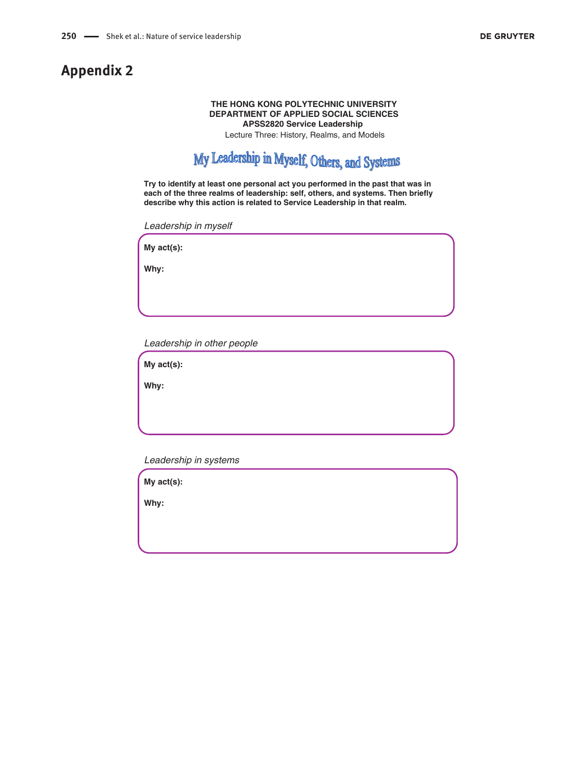# **Appendix 2**

#### **THE HONG KONG POLYTECHNIC UNIVERSITY DEPARTMENT OF APPLIED SOCIAL SCIENCES APSS2820 Service Leadership**

Lecture Three: History, Realms, and Models

# My Leadership in Myself, Others, and Systems

**Try to identify at least one personal act you performed in the past that was in each of the three realms of leadership: self, others, and systems. Then briefly describe why this action is related to Service Leadership in that realm.** 

*Leadership in myself*

**My act(s):** 

**Why:** 

*Leadership in other people*

**My act(s):** 

**Why:** 

*Leadership in systems*

**My act(s):** 

**Why:**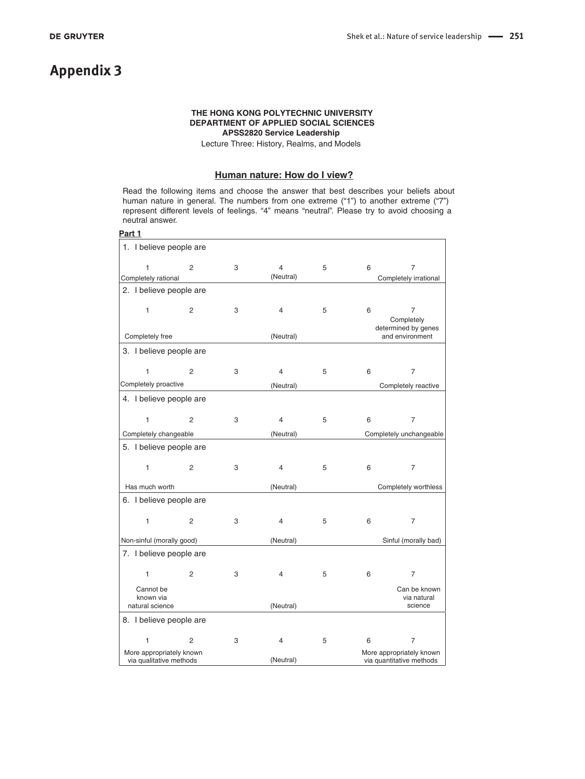# **Appendix 3**

#### **THE HONG KONG POLYTECHNIC UNIVERSITY DEPARTMENT OF APPLIED SOCIAL SCIENCES APSS2820 Service Leadership**

Lecture Three: History, Realms, and Models

#### **Human nature: How do I view?**

Read the following items and choose the answer that best describes your beliefs about human nature in general. The numbers from one extreme ("1") to another extreme ("7") represent different levels of feelings. "4" means "neutral". Please try to avoid choosing a neutral answer.

#### **Part 1**

| 1. I believe people are |                                                      |   |                         |   |                          |                                        |
|-------------------------|------------------------------------------------------|---|-------------------------|---|--------------------------|----------------------------------------|
| $\mathbf{1}$            | $\mathfrak{p}$                                       | 3 | $\overline{4}$          | 5 | 6                        | $\overline{7}$                         |
| Completely rational     |                                                      |   | (Neutral)               |   |                          | Completely irrational                  |
| 2. I believe people are |                                                      |   |                         |   |                          |                                        |
| $\mathbf{1}$            | 2                                                    | 3 | 4                       | 5 | 6                        | 7                                      |
|                         |                                                      |   |                         |   |                          | Completely                             |
| Completely free         |                                                      |   | (Neutral)               |   |                          | determined by genes<br>and environment |
|                         | 3. I believe people are                              |   |                         |   |                          |                                        |
| $\mathbf{1}$            | $\overline{2}$                                       | 3 | $\overline{4}$          | 5 | 6                        | $\overline{7}$                         |
| Completely proactive    |                                                      |   | (Neutral)               |   |                          | Completely reactive                    |
|                         | 4. I believe people are                              |   |                         |   |                          |                                        |
| $\mathbf{1}$            | $\overline{2}$                                       | 3 | $\overline{\mathbf{4}}$ | 5 | 6                        | 7                                      |
|                         | Completely changeable                                |   | (Neutral)               |   | Completely unchangeable  |                                        |
| 5. I believe people are |                                                      |   |                         |   |                          |                                        |
| $\mathbf{1}$            | $\overline{2}$                                       | 3 | $\overline{4}$          | 5 | 6                        | 7                                      |
|                         | Has much worth<br>(Neutral)                          |   | Completely worthless    |   |                          |                                        |
| 6. I believe people are |                                                      |   |                         |   |                          |                                        |
| $\mathbf{1}$            | $\overline{c}$                                       | 3 | 4                       | 5 | 6                        | $\overline{7}$                         |
|                         | Non-sinful (morally good)                            |   | (Neutral)               |   | Sinful (morally bad)     |                                        |
| 7. I believe people are |                                                      |   |                         |   |                          |                                        |
| 1                       | $\overline{2}$                                       | 3 | 4                       | 5 | 6                        | $\overline{7}$                         |
| Cannot be               |                                                      |   |                         |   |                          | Can be known                           |
| known via               |                                                      |   | (Neutral)               |   |                          | via natural<br>science                 |
| natural science         |                                                      |   |                         |   |                          |                                        |
| 8. I believe people are |                                                      |   |                         |   |                          |                                        |
| 1                       | $\overline{2}$                                       | 3 | 4                       | 5 | 6                        | $\overline{7}$                         |
|                         | More appropriately known<br>More appropriately known |   |                         |   |                          |                                        |
| via qualitative methods |                                                      |   | (Neutral)               |   | via quantitative methods |                                        |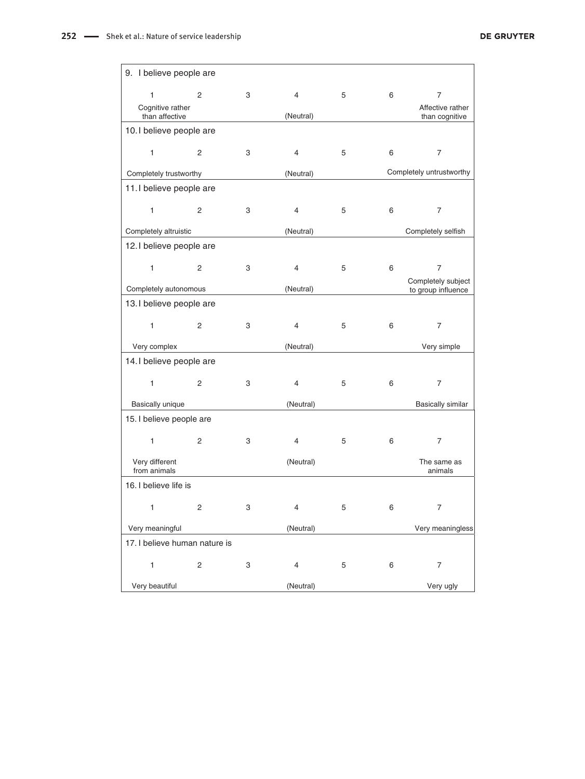| 9. I believe people are                          |                                       |           |                |                                    |                                          |                          |
|--------------------------------------------------|---------------------------------------|-----------|----------------|------------------------------------|------------------------------------------|--------------------------|
| 1                                                | $\overline{2}$                        | 3         | $\overline{4}$ | 5                                  | 6                                        | $\overline{7}$           |
| Cognitive rather<br>than affective               |                                       |           | (Neutral)      | Affective rather<br>than cognitive |                                          |                          |
| 10. I believe people are                         |                                       |           |                |                                    |                                          |                          |
| 1                                                | $\overline{2}$                        | 3         | 4              | 5                                  | 6                                        | 7                        |
|                                                  |                                       |           |                |                                    |                                          |                          |
| Completely trustworthy                           |                                       |           | (Neutral)      |                                    |                                          | Completely untrustworthy |
| 11. I believe people are                         |                                       |           |                |                                    |                                          |                          |
| $\mathbf{1}$                                     | $\overline{2}$                        | 3         | 4              | 5                                  | 6                                        | 7                        |
| Completely altruistic                            |                                       |           | (Neutral)      |                                    |                                          | Completely selfish       |
| 12. I believe people are                         |                                       |           |                |                                    |                                          |                          |
| $\mathbf{1}$                                     | $\overline{2}$                        | 3         | 4              | 5                                  | 6                                        | $\overline{7}$           |
| Completely autonomous                            |                                       | (Neutral) |                |                                    | Completely subject<br>to group influence |                          |
|                                                  | 13. I believe people are              |           |                |                                    |                                          |                          |
| $\mathbf{1}$                                     | $\overline{2}$                        | 3         | $\overline{4}$ | 5                                  | 6                                        | $\overline{7}$           |
| Very complex                                     |                                       |           | (Neutral)      |                                    | Very simple                              |                          |
| 14. I believe people are                         |                                       |           |                |                                    |                                          |                          |
| $\mathbf{1}$                                     | $\overline{2}$                        | 3         | 4              | 5                                  | 6                                        | 7                        |
| Basically unique                                 | <b>Basically similar</b><br>(Neutral) |           |                |                                    |                                          |                          |
| 15. I believe people are                         |                                       |           |                |                                    |                                          |                          |
| 1                                                | 2                                     | 3         | 4              | 5                                  | 6                                        | 7                        |
| Very different<br>from animals                   |                                       |           | (Neutral)      |                                    |                                          | The same as<br>animals   |
| 16. I believe life is                            |                                       |           |                |                                    |                                          |                          |
| 1                                                | 2                                     | 3         | 4              | 5                                  | 6                                        | 7                        |
| Very meaningful<br>Very meaningless<br>(Neutral) |                                       |           |                |                                    |                                          |                          |
| 17. I believe human nature is                    |                                       |           |                |                                    |                                          |                          |
| 1                                                | $\overline{c}$                        | 3         | 4              | 5                                  | 6                                        | 7                        |
| Very beautiful                                   |                                       |           | (Neutral)      |                                    |                                          | Very ugly                |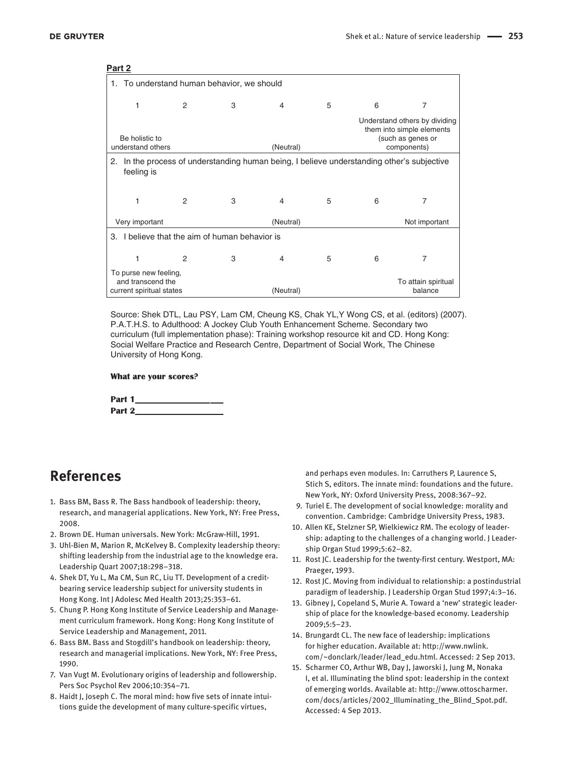#### **Part 2**

| 1. To understand human behavior, we should                                                                  |                                                            |           |           |   |                                |                   |
|-------------------------------------------------------------------------------------------------------------|------------------------------------------------------------|-----------|-----------|---|--------------------------------|-------------------|
| 1                                                                                                           | 2                                                          | 3         | 4         | 5 | 6                              | 7                 |
|                                                                                                             | Understand others by dividing<br>them into simple elements |           |           |   |                                |                   |
|                                                                                                             | Be holistic to                                             |           |           |   |                                | (such as genes or |
|                                                                                                             | understand others                                          |           | (Neutral) |   |                                | components)       |
| In the process of understanding human being, I believe understanding other's subjective<br>2.<br>feeling is |                                                            |           |           |   |                                |                   |
| 1                                                                                                           | $\mathfrak{p}$                                             | 3         | 4         | 5 | 6                              | 7                 |
|                                                                                                             | Very important                                             |           | (Neutral) |   |                                | Not important     |
| I believe that the aim of human behavior is<br>3.                                                           |                                                            |           |           |   |                                |                   |
| 1                                                                                                           | 2                                                          | 3         | 4         | 5 | 6                              | 7                 |
| To purse new feeling,<br>and transcend the<br>current spiritual states                                      |                                                            | (Neutral) |           |   | To attain spiritual<br>balance |                   |

Source: Shek DTL, Lau PSY, Lam CM, Cheung KS, Chak YL,Y Wong CS, et al. (editors) (2007). P.A.T.H.S. to Adulthood: A Jockey Club Youth Enhancement Scheme. Secondary two curriculum (full implementation phase): Training workshop resource kit and CD. Hong Kong: Social Welfare Practice and Research Centre, Department of Social Work, The Chinese University of Hong Kong.

#### What are your scores?

Part 1\_\_\_ Part 2

# **References**

- 1. Bass BM, Bass R. The Bass handbook of leadership: theory, research, and managerial applications. New York, NY: Free Press, 2008.
- 2. Brown DE. Human universals. New York: McGraw-Hill, 1991.
- 3. Uhl-Bien M, Marion R, McKelvey B. Complexity leadership theory: shifting leadership from the industrial age to the knowledge era. Leadership Quart 2007;18:298–318.
- 4. Shek DT, Yu L, Ma CM, Sun RC, Liu TT. Development of a creditbearing service leadership subject for university students in Hong Kong. Int J Adolesc Med Health 2013;25:353–61.
- 5. Chung P. Hong Kong Institute of Service Leadership and Management curriculum framework. Hong Kong: Hong Kong Institute of Service Leadership and Management, 2011.
- 6. Bass BM. Bass and Stogdill's handbook on leadership: theory, research and managerial implications. New York, NY: Free Press, 1990.
- 7. Van Vugt M. Evolutionary origins of leadership and followership. Pers Soc Psychol Rev 2006;10:354–71.
- 8. Haidt J, Joseph C. The moral mind: how five sets of innate intuitions guide the development of many culture-specific virtues,

and perhaps even modules. In: Carruthers P, Laurence S, Stich S, editors. The innate mind: foundations and the future. New York, NY: Oxford University Press, 2008:367–92.

- 9. Turiel E. The development of social knowledge: morality and convention. Cambridge: Cambridge University Press, 1983.
- 10. Allen KE, Stelzner SP, Wielkiewicz RM. The ecology of leadership: adapting to the challenges of a changing world. J Leadership Organ Stud 1999;5:62–82.
- 11. Rost JC. Leadership for the twenty-first century. Westport, MA: Praeger, 1993.
- 12. Rost JC. Moving from individual to relationship: a postindustrial paradigm of leadership. J Leadership Organ Stud 1997;4:3–16.
- 13. Gibney J, Copeland S, Murie A. Toward a 'new' strategic leadership of place for the knowledge-based economy. Leadership 2009;5:5–23.
- 14. Brungardt CL. The new face of leadership: implications for higher education. Available at: [http://www.nwlink.](http://www.nwlink.com/~donclark/leader/lead_edu.html) [com/~donclark/leader/lead\\_edu.html.](http://www.nwlink.com/~donclark/leader/lead_edu.html) Accessed: 2 Sep 2013.
- 15. Scharmer CO, Arthur WB, Day J, Jaworski J, Jung M, Nonaka I, et al. Illuminating the blind spot: leadership in the context of emerging worlds. Available at: [http://www.ottoscharmer.](http://www.ottoscharmer.com/docs/articles/2002_Illuminating_the_Blind_Spot.pdf) [com/docs/articles/2002\\_Illuminating\\_the\\_Blind\\_Spot.pdf](http://www.ottoscharmer.com/docs/articles/2002_Illuminating_the_Blind_Spot.pdf). Accessed: 4 Sep 2013.